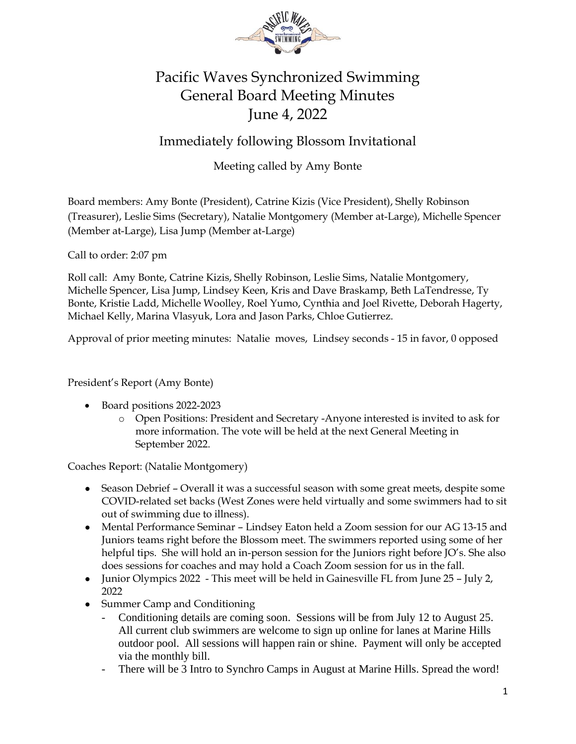

## Pacific Waves Synchronized Swimming General Board Meeting Minutes June 4, 2022

## Immediately following Blossom Invitational

## Meeting called by Amy Bonte

Board members: Amy Bonte (President), Catrine Kizis (Vice President), Shelly Robinson (Treasurer), Leslie Sims (Secretary), Natalie Montgomery (Member at-Large), Michelle Spencer (Member at-Large), Lisa Jump (Member at-Large)

Call to order: 2:07 pm

Roll call: Amy Bonte, Catrine Kizis, Shelly Robinson, Leslie Sims, Natalie Montgomery, Michelle Spencer, Lisa Jump, Lindsey Keen, Kris and Dave Braskamp, Beth LaTendresse, Ty Bonte, Kristie Ladd, Michelle Woolley, Roel Yumo, Cynthia and Joel Rivette, Deborah Hagerty, Michael Kelly, Marina Vlasyuk, Lora and Jason Parks, Chloe Gutierrez.

Approval of prior meeting minutes: Natalie moves, Lindsey seconds - 15 in favor, 0 opposed

President's Report (Amy Bonte)

- Board positions 2022-2023
	- o Open Positions: President and Secretary -Anyone interested is invited to ask for more information. The vote will be held at the next General Meeting in September 2022.

Coaches Report: (Natalie Montgomery)

- Season Debrief Overall it was a successful season with some great meets, despite some COVID-related set backs (West Zones were held virtually and some swimmers had to sit out of swimming due to illness).
- Mental Performance Seminar Lindsey Eaton held a Zoom session for our AG 13-15 and Juniors teams right before the Blossom meet. The swimmers reported using some of her helpful tips. She will hold an in-person session for the Juniors right before JO's. She also does sessions for coaches and may hold a Coach Zoom session for us in the fall.
- Junior Olympics 2022 This meet will be held in Gainesville FL from June 25 July 2, 2022
- Summer Camp and Conditioning
	- Conditioning details are coming soon. Sessions will be from July 12 to August 25. All current club swimmers are welcome to sign up online for lanes at Marine Hills outdoor pool. All sessions will happen rain or shine. Payment will only be accepted via the monthly bill.
	- There will be 3 Intro to Synchro Camps in August at Marine Hills. Spread the word!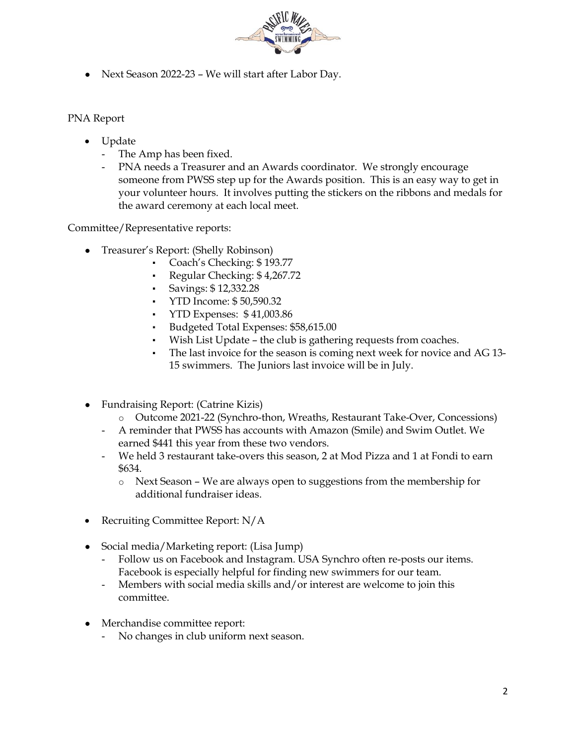

● Next Season 2022-23 – We will start after Labor Day.

## PNA Report

- Update
	- The Amp has been fixed.
	- PNA needs a Treasurer and an Awards coordinator. We strongly encourage someone from PWSS step up for the Awards position. This is an easy way to get in your volunteer hours. It involves putting the stickers on the ribbons and medals for the award ceremony at each local meet.

Committee/Representative reports:

- Treasurer's Report: (Shelly Robinson)
	- Coach's Checking: \$193.77
	- Regular Checking: \$4,267.72
	- Savings: \$ 12,332.28
	- YTD Income: \$50,590.32
	- YTD Expenses: \$41,003.86
	- Budgeted Total Expenses: \$58,615.00
	- Wish List Update the club is gathering requests from coaches.
	- The last invoice for the season is coming next week for novice and AG 13-15 swimmers. The Juniors last invoice will be in July.
- Fundraising Report: (Catrine Kizis)
	- o Outcome 2021-22 (Synchro-thon, Wreaths, Restaurant Take-Over, Concessions)
	- A reminder that PWSS has accounts with Amazon (Smile) and Swim Outlet. We earned \$441 this year from these two vendors.
	- We held 3 restaurant take-overs this season, 2 at Mod Pizza and 1 at Fondi to earn \$634.
		- o Next Season We are always open to suggestions from the membership for additional fundraiser ideas.
- Recruiting Committee Report: N/A
- Social media/Marketing report: (Lisa Jump)
	- Follow us on Facebook and Instagram. USA Synchro often re-posts our items. Facebook is especially helpful for finding new swimmers for our team.
	- Members with social media skills and/or interest are welcome to join this committee.
- Merchandise committee report:
	- No changes in club uniform next season.